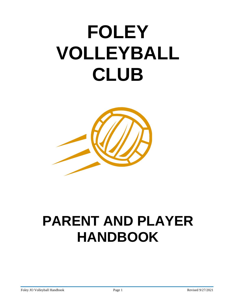# **FOLEY VOLLEYBALL CLUB**



## **PARENT AND PLAYER HANDBOOK**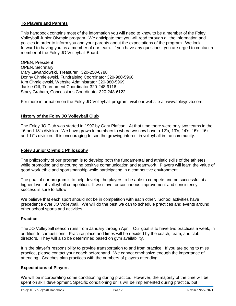#### **To Players and Parents**

This handbook contains most of the information you will need to know to be a member of the Foley Volleyball Junior Olympic program. We anticipate that you will read through all the information and policies in order to inform you and your parents about the expectations of the program. We look forward to having you as a member of our team. If you have any questions, you are urged to contact a member of the Foley JO Volleyball Board:

OPEN, President OPEN, Secretary Mary Lewandowski, Treasurer 320-250-0788 Donny Chmielewski, Fundraising Coordinator 320-980-5968 Kim Chmielewski, Website Administrator 320-980-5969 Jackie Gill, Tournament Coordinator 320-248-9116 Stacy Graham, Concessions Coordinator 320-248-6122

For more information on the Foley JO Volleyball program, visit our website at www.foleyjovb.com.

#### **History of the Foley JO Volleyball Club**

The Foley JO Club was started in 1997 by Gary Plafcan. At that time there were only two teams in the 16 and 18's division. We have grown in numbers to where we now have a 12's, 13's, 14's, 15's, 16's, and 17's division. It is encouraging to see the growing interest in volleyball in the community.

#### **Foley Junior Olympic Philosophy**

The philosophy of our program is to develop both the fundamental and athletic skills of the athletes while promoting and encouraging positive communication and teamwork. Players will learn the value of good work ethic and sportsmanship while participating in a competitive environment.

The goal of our program is to help develop the players to be able to compete and be successful at a higher level of volleyball competition. If we strive for continuous improvement and consistency, success is sure to follow.

We believe that each sport should not be in competition with each other. School activities have precedence over JO Volleyball. We will do the best we can to schedule practices and events around other school sports and activities.

#### **Practice**

The JO Volleyball season runs from January through April. Our goal is to have two practices a week, in addition to competitions. Practice place and times will be decided by the coach, team, and club directors. They will also be determined based on gym availability.

It is the player's responsibility to provide transportation to and from practice. If you are going to miss practice, please contact your coach beforehand. We cannot emphasize enough the importance of attending. Coaches plan practices with the numbers of players attending.

#### **Expectations of Players**

We will be incorporating some conditioning during practice. However, the majority of the time will be spent on skill development. Specific conditioning drills will be implemented during practice, but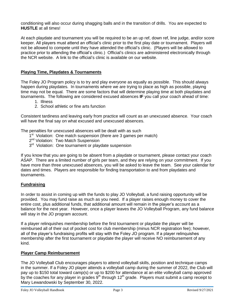conditioning will also occur during shagging balls and in the transition of drills. You are expected to **HUSTLE** at all times!

At each playdate and tournament you will be required to be an up ref, down ref, line judge, and/or score keeper. All players must attend an official's clinic prior to the first play date or tournament. Players will not be allowed to compete until they have attended the official's clinic. (Players will be allowed to practice prior to attending the official's clinic.) Official's clinics are administered electronically through the NCR website. A link to the official's clinic is available on our website.

#### **Playing Time, Playdates & Tournaments**

The Foley JO Program policy is to try and play everyone as equally as possible. This should always happen during playdates. In tournaments where we are trying to place as high as possible, playing time may not be equal. There are some factors that will determine playing time at both playdates and tournaments. The following are considered excused absences **IF** you call your coach ahead of time:

- 1. Illness
- 2. School athletic or fine arts function

Consistent tardiness and leaving early from practice will count as an unexcused absence. Your coach will have the final say on what excused and unexcused absences.

The penalties for unexcused absences will be dealt with as such

- 1<sup>st</sup> Violation: One match suspension (there are 3 games per match)
- 2<sup>nd</sup> Violation: Two Match Suspension
- 3<sup>rd</sup> Violation: One tournament or playdate suspension

If you know that you are going to be absent from a playdate or tournament, please contact your coach ASAP. There are a limited number of girls per team, and they are relying on your commitment. If you have more than three unexcused absences, you will be asked to leave the team. See your calendar for dates and times. Players are responsible for finding transportation to and from playdates and tournaments.

#### **Fundraising**

In order to assist in coming up with the funds to play JO Volleyball, a fund raising opportunity will be provided. You may fund raise as much as you need. If a player raises enough money to cover the entire cost, plus additional funds, that additional amount will remain in the player's account as a balance for the next year. However, once a player leaves the JO Volleyball Program, any fund balance will stay in the JO program account.

If a player relinquishes membership before the first tournament or playdate the player will be reimbursed all of their out of pocket cost for club membership (minus NCR registration fee); however, all of the player's fundraising profits will stay with the Foley JO program. If a player relinquishes membership after the first tournament or playdate the player will receive NO reimbursement of any kind.

#### **Player Camp Reimbursement**

The JO Volleyball Club encourages players to attend volleyball skills, position and technique camps in the summer. If a Foley JO player attends a volleyball camp during the summer of 2022, the Club will pay up to \$150 total toward camp(s) or up to \$200 for attendance at an elite volleyball camp approved by the coaches for any player in grades 9<sup>th</sup> through 12<sup>th</sup> grade. Players must submit a camp receipt to Mary Lewandowski by September 30, 2022.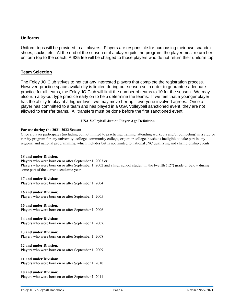#### **Uniforms**

Uniform tops will be provided to all players. Players are responsible for purchasing their own spandex, shoes, socks, etc. At the end of the season or if a player quits the program, the player must return her uniform top to the coach. A \$25 fee will be charged to those players who do not return their uniform top.

#### **Team Selection**

The Foley JO Club strives to not cut any interested players that complete the registration process. However, practice space availability is limited during our season so in order to guarantee adequate practice for all teams, the Foley JO Club will limit the number of teams to 10 for the season. We may also run a try-out type practice early on to help determine the teams. If we feel that a younger player has the ability to play at a higher level, we may move her up if everyone involved agrees. Once a player has committed to a team and has played in a USA Volleyball sanctioned event, they are not allowed to transfer teams. All transfers must be done before the first sanctioned event.

#### **USA Volleyball Junior Player Age Definition**

#### **For use during the 2021-2022 Season**

Once a player participates (including but not limited to practicing, training, attending workouts and/or competing) in a club or varsity program for any university, college, community college, or junior college, he/she is ineligible to take part in any regional and national programming, which includes but is not limited to national JNC qualifying and championship events.

#### **18 and under Division**:

Players who were born on or after September 1, 2003 or Players who were born on or after September 1, 2002 and a high school student in the twelfth  $(12<sup>th</sup>)$  grade or below during some part of the current academic year.

#### **17 and under Division**:

Players who were born on or after September 1, 2004

**16 and under Division**: Players who were born on or after September 1, 2005

**15 and under Division**: Players who were born on or after September 1, 2006

**14 and under Division**: Players who were born on or after September 1, 2007.

**13 and under Division:**  Players who were born on or after September 1, 2008

**12 and under Division**:

Players who were born on or after September 1, 2009

#### **11 and under Division:**

Players who were born on or after September 1, 2010

#### **10 and under Division:**

Players who were born on or after September 1, 2011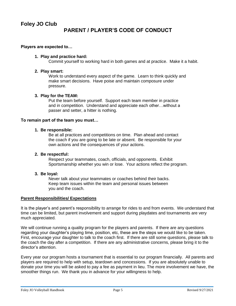#### **Players are expected to…**

#### **1. Play and practice hard:**

Commit yourself to working hard in both games and at practice. Make it a habit.

#### **2. Play smart:**

Work to understand every aspect of the game. Learn to think quickly and make smart decisions. Have poise and maintain composure under pressure.

#### **3. Play for the TEAM:**

Put the team before yourself. Support each team member in practice and in competition. Understand and appreciate each other…without a passer and setter, a hitter is nothing.

#### **To remain part of the team you must…**

#### **1. Be responsible:**

Be at all practices and competitions on time. Plan ahead and contact the coach if you are going to be late or absent. Be responsible for your own actions and the consequences of your actions.

#### **2. Be respectful:**

Respect your teammates, coach, officials, and opponents. Exhibit Sportsmanship whether you win or lose. Your actions reflect the program.

#### **3. Be loyal:**

Never talk about your teammates or coaches behind their backs. Keep team issues within the team and personal issues between you and the coach.

#### **Parent Responsibilities/ Expectations**

It is the player's and parent's responsibility to arrange for rides to and from events. We understand that time can be limited, but parent involvement and support during playdates and tournaments are very much appreciated.

We will continue running a quality program for the players and parents. If there are any questions regarding your daughter's playing time, position, etc, these are the steps we would like to be taken. First, encourage your daughter to talk to the coach first. If there are still some questions, please talk to the coach the day after a competition. If there are any administrative concerns, please bring it to the director's attention.

Every year our program hosts a tournament that is essential to our program financially. All parents and players are required to help with setup, teardown and concessions. If you are absolutely unable to donate your time you will be asked to pay a fee as payment in lieu. The more involvement we have, the smoother things run. We thank you in advance for your willingness to help.